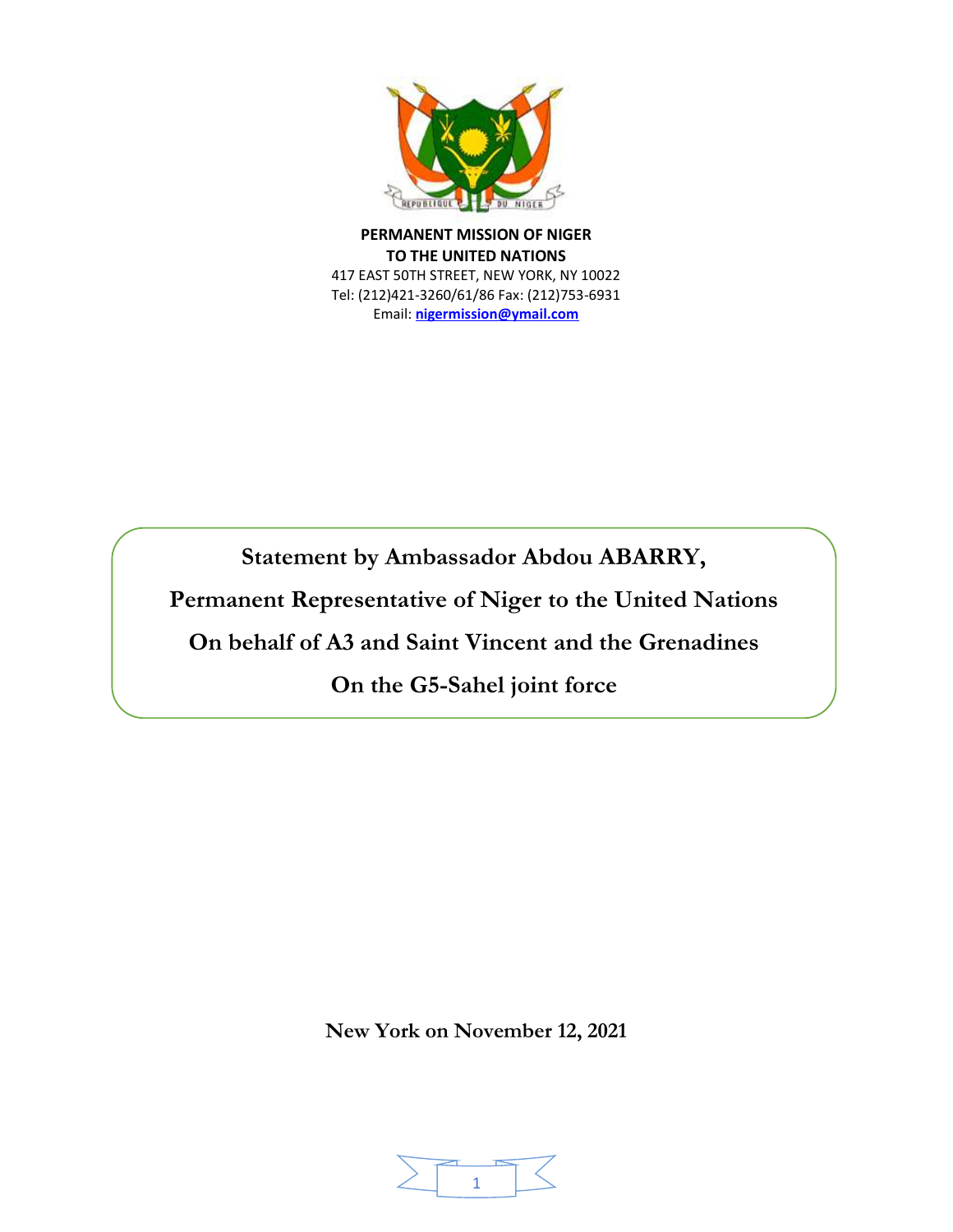

**PERMANENT MISSION OF NIGER TO THE UNITED NATIONS** 417 EAST 50TH STREET, NEW YORK, NY 10022 Tel: (212)421-3260/61/86 Fax: (212)753-6931 Email: **[nigermission@ymail.com](about:blank)**

**Statement by Ambassador Abdou ABARRY,**

**Permanent Representative of Niger to the United Nations**

**On behalf of A3 and Saint Vincent and the Grenadines**

**On the G5-Sahel joint force**

**New York on November 12, 2021** 

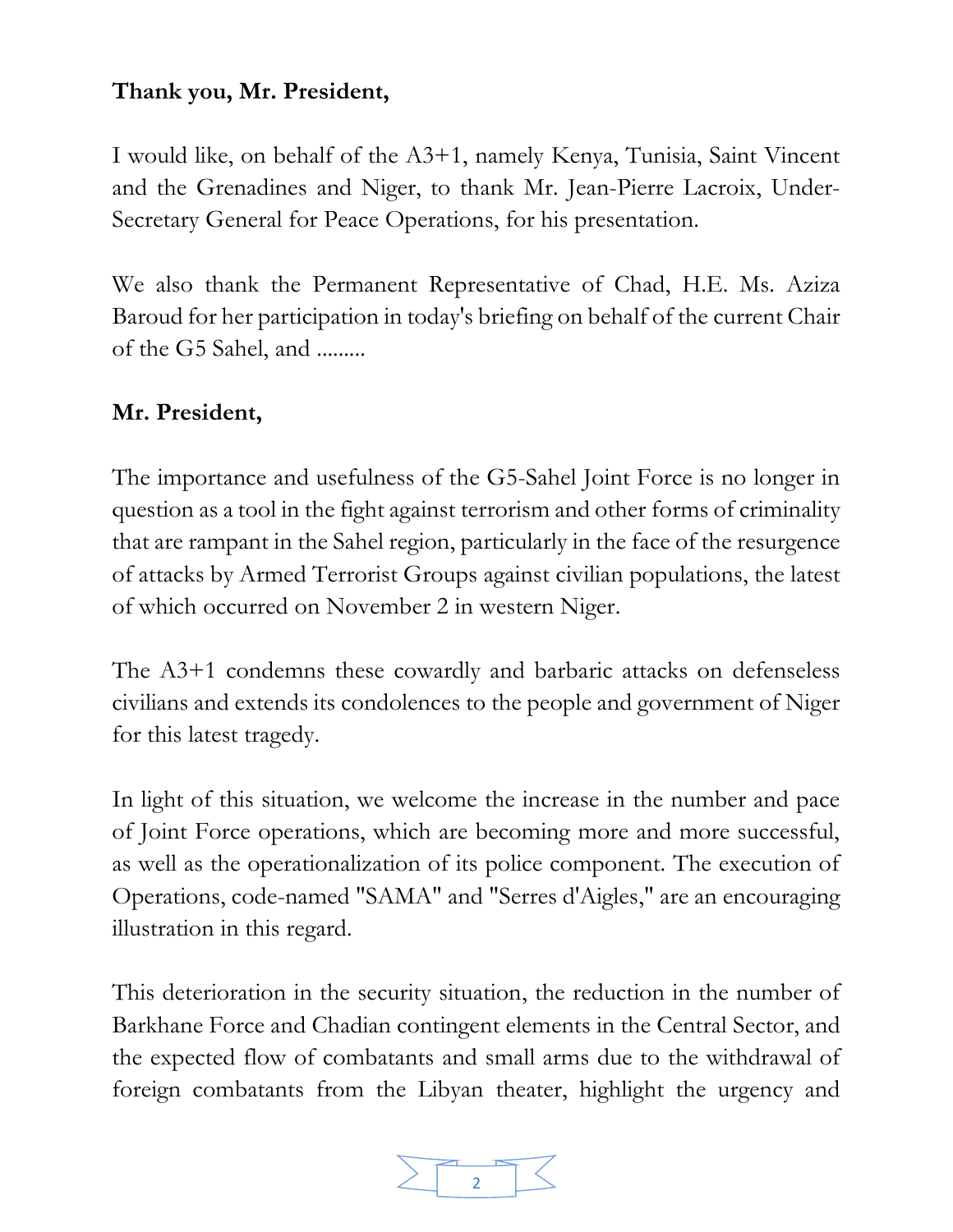## **Thank you, Mr. President,**

I would like, on behalf of the A3+1, namely Kenya, Tunisia, Saint Vincent and the Grenadines and Niger, to thank Mr. Jean-Pierre Lacroix, Under-Secretary General for Peace Operations, for his presentation.

We also thank the Permanent Representative of Chad, H.E. Ms. Aziza Baroud for her participation in today's briefing on behalf of the current Chair of the G5 Sahel, and .........

## **Mr. President,**

The importance and usefulness of the G5-Sahel Joint Force is no longer in question as a tool in the fight against terrorism and other forms of criminality that are rampant in the Sahel region, particularly in the face of the resurgence of attacks by Armed Terrorist Groups against civilian populations, the latest of which occurred on November 2 in western Niger.

The A3+1 condemns these cowardly and barbaric attacks on defenseless civilians and extends its condolences to the people and government of Niger for this latest tragedy.

In light of this situation, we welcome the increase in the number and pace of Joint Force operations, which are becoming more and more successful, as well as the operationalization of its police component. The execution of Operations, code-named "SAMA" and "Serres d'Aigles," are an encouraging illustration in this regard.

This deterioration in the security situation, the reduction in the number of Barkhane Force and Chadian contingent elements in the Central Sector, and the expected flow of combatants and small arms due to the withdrawal of foreign combatants from the Libyan theater, highlight the urgency and

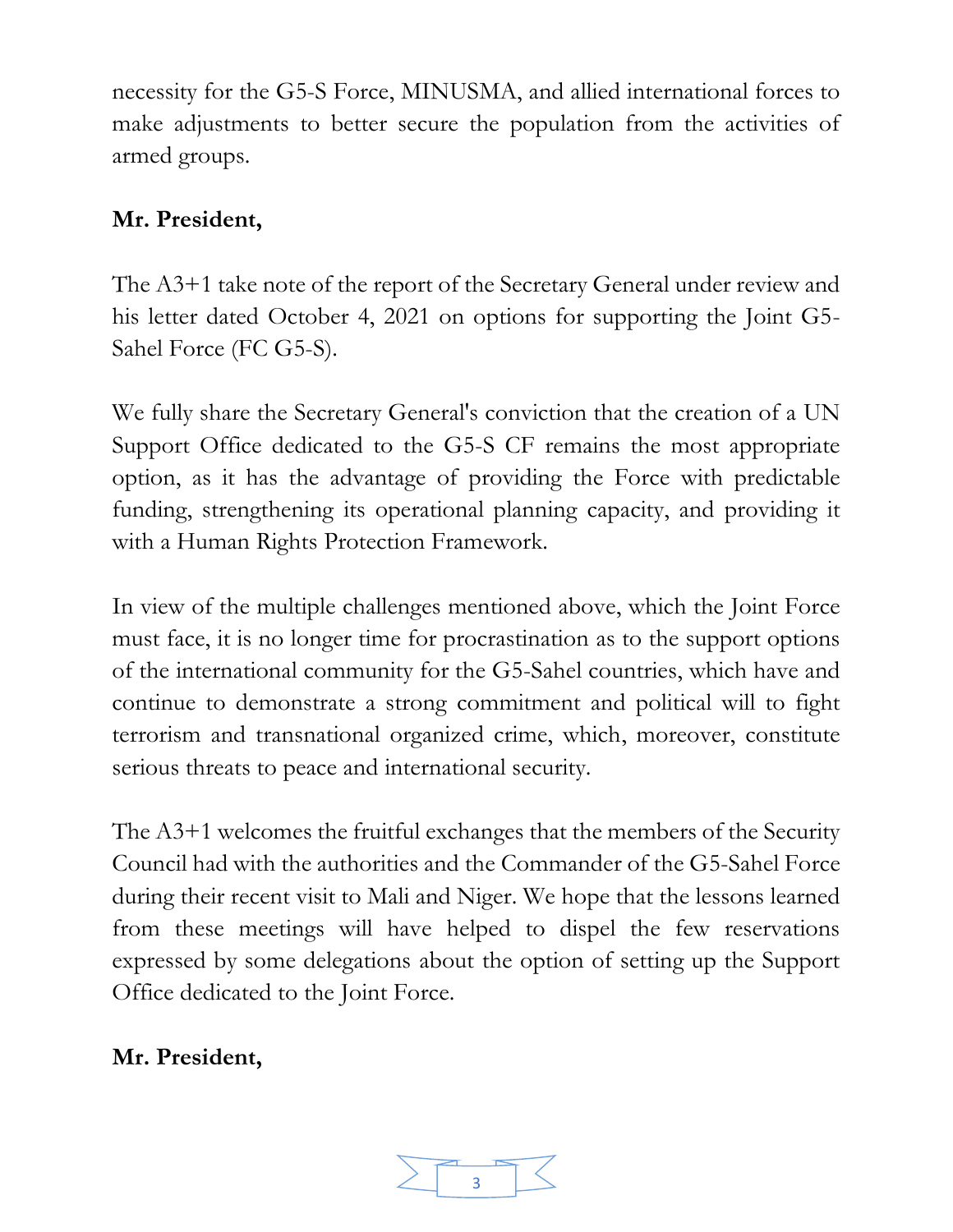necessity for the G5-S Force, MINUSMA, and allied international forces to make adjustments to better secure the population from the activities of armed groups.

# **Mr. President,**

The A3+1 take note of the report of the Secretary General under review and his letter dated October 4, 2021 on options for supporting the Joint G5- Sahel Force (FC G5-S).

We fully share the Secretary General's conviction that the creation of a UN Support Office dedicated to the G5-S CF remains the most appropriate option, as it has the advantage of providing the Force with predictable funding, strengthening its operational planning capacity, and providing it with a Human Rights Protection Framework.

In view of the multiple challenges mentioned above, which the Joint Force must face, it is no longer time for procrastination as to the support options of the international community for the G5-Sahel countries, which have and continue to demonstrate a strong commitment and political will to fight terrorism and transnational organized crime, which, moreover, constitute serious threats to peace and international security.

The A3+1 welcomes the fruitful exchanges that the members of the Security Council had with the authorities and the Commander of the G5-Sahel Force during their recent visit to Mali and Niger. We hope that the lessons learned from these meetings will have helped to dispel the few reservations expressed by some delegations about the option of setting up the Support Office dedicated to the Joint Force.

## **Mr. President,**

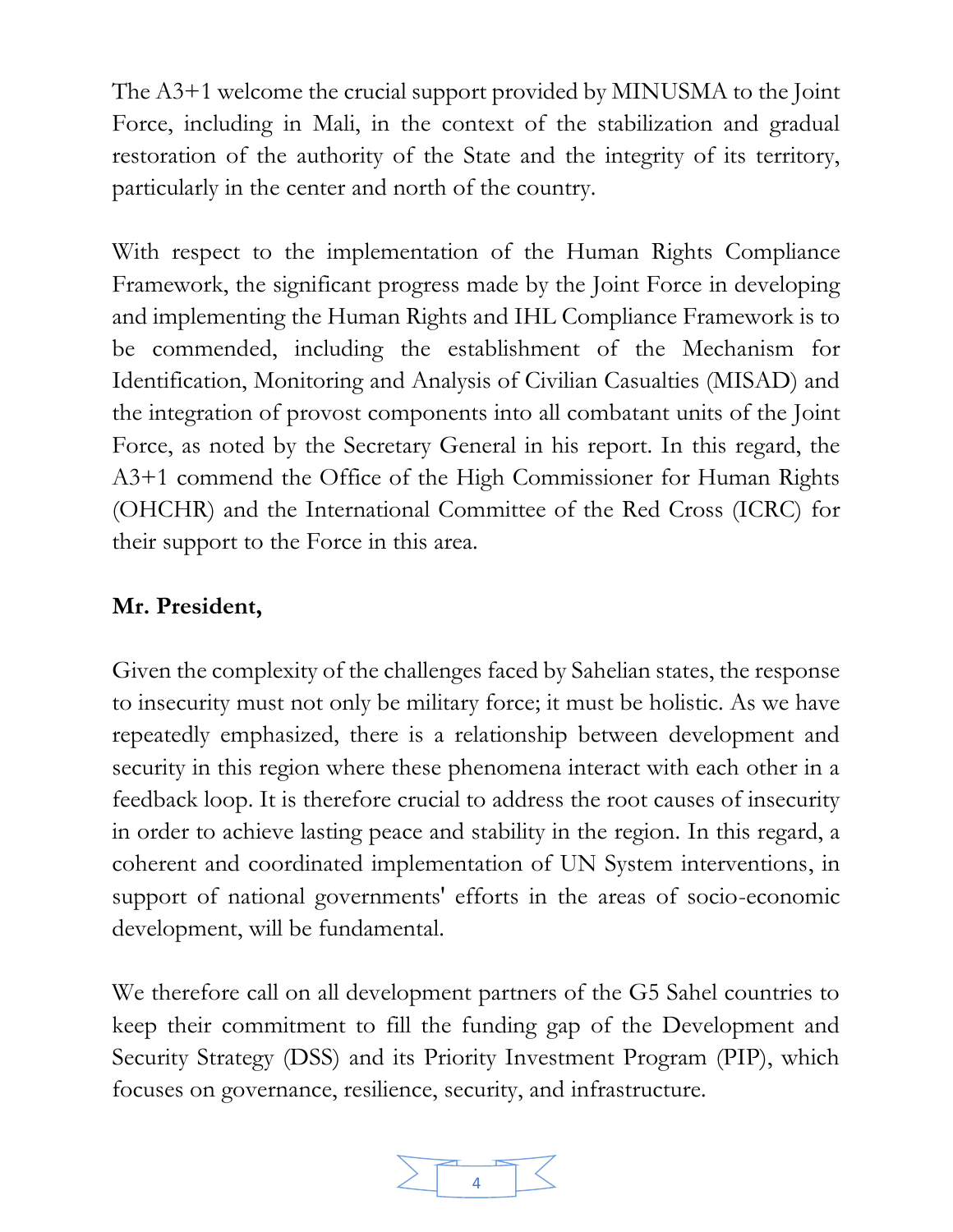The A3+1 welcome the crucial support provided by MINUSMA to the Joint Force, including in Mali, in the context of the stabilization and gradual restoration of the authority of the State and the integrity of its territory, particularly in the center and north of the country.

With respect to the implementation of the Human Rights Compliance Framework, the significant progress made by the Joint Force in developing and implementing the Human Rights and IHL Compliance Framework is to be commended, including the establishment of the Mechanism for Identification, Monitoring and Analysis of Civilian Casualties (MISAD) and the integration of provost components into all combatant units of the Joint Force, as noted by the Secretary General in his report. In this regard, the A3+1 commend the Office of the High Commissioner for Human Rights (OHCHR) and the International Committee of the Red Cross (ICRC) for their support to the Force in this area.

# **Mr. President,**

Given the complexity of the challenges faced by Sahelian states, the response to insecurity must not only be military force; it must be holistic. As we have repeatedly emphasized, there is a relationship between development and security in this region where these phenomena interact with each other in a feedback loop. It is therefore crucial to address the root causes of insecurity in order to achieve lasting peace and stability in the region. In this regard, a coherent and coordinated implementation of UN System interventions, in support of national governments' efforts in the areas of socio-economic development, will be fundamental.

We therefore call on all development partners of the G5 Sahel countries to keep their commitment to fill the funding gap of the Development and Security Strategy (DSS) and its Priority Investment Program (PIP), which focuses on governance, resilience, security, and infrastructure.